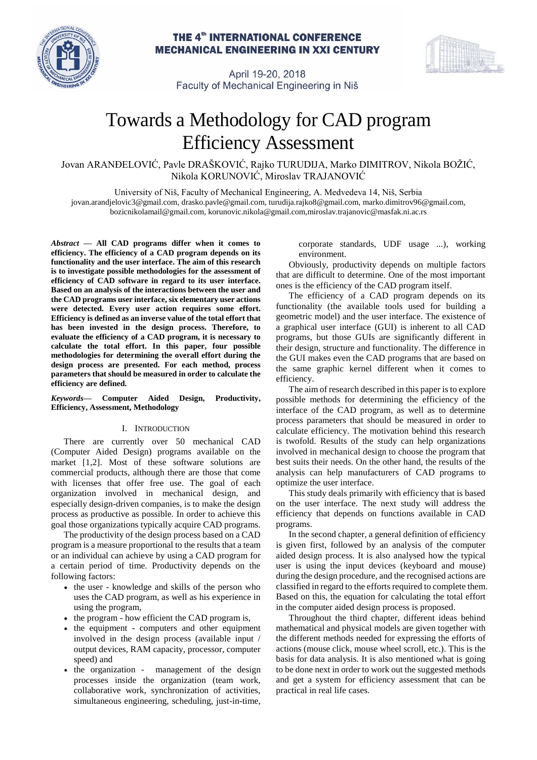

# **THE 4<sup>th</sup> INTERNATIONAL CONFERENCE MECHANICAL ENGINEERING IN XXI CENTURY**



April 19-20, 2018 Faculty of Mechanical Engineering in Niš

# Towards a Methodology for CAD program Efficiency Assessment

Jovan ARANĐELOVIĆ, Pavle DRAŠKOVIĆ, Rajko TURUDIJA, Marko DIMITROV, Nikola BOŽIĆ, Nikola KORUNOVIĆ, Miroslav TRAJANOVIĆ

University of Niš, Faculty of Mechanical Engineering, A. Medvedeva 14, Niš, Serbia [jovan.arandjelovic3@gmail.com,](mailto:jovan.arandjelovic3@gmail.com) drasko.pavle@gmail.com, [turudija.rajko8@gmail.com,](mailto:turudija.rajko8@gmail.com) [marko.dimitrov96@gmail.com,](mailto:marko.dimitrov96@gmail.com) [bozicnikolamail@gmail.com,](mailto:bozicnikolamail@gmail.com) [korunovic.nikola@gmail.com,](mailto:korunovic.nikola@gmail.com)[miroslav.trajanovic@m](mailto:miroslav.trajanovic@gmail.com)asfak.ni.ac.rs

*Abstract* **— All CAD programs differ when it comes to efficiency. The efficiency of a CAD program depends on its functionality and the user interface. The aim of this research is to investigate possible methodologies for the assessment of efficiency of CAD software in regard to its user interface. Based on an analysis of the interactions between the user and the CAD programs user interface, six elementary user actions were detected. Every user action requires some effort. Efficiency is defined as an inverse value of the total effort that has been invested in the design process. Therefore, to evaluate the efficiency of a CAD program, it is necessary to calculate the total effort. In this paper, four possible methodologies for determining the overall effort during the design process are presented. For each method, process parameters that should be measured in order to calculate the efficiency are defined.**

# *Keywords***— Computer Aided Design, Productivity, Efficiency, Assessment, Methodology**

# I. INTRODUCTION

There are currently over 50 mechanical CAD (Computer Aided Design) programs available on the market [1,2]. Most of these software solutions are commercial products, although there are those that come with licenses that offer free use. The goal of each organization involved in mechanical design, and especially design-driven companies, is to make the design process as productive as possible. In order to achieve this goal those organizations typically acquire CAD programs.

The productivity of the design process based on a CAD program is a measure proportional to the results that a team or an individual can achieve by using a CAD program for a certain period of time. Productivity depends on the following factors:

- the user knowledge and skills of the person who uses the CAD program, as well as his experience in using the program,
- the program how efficient the CAD program is,
- the equipment computers and other equipment involved in the design process (available input / output devices, RAM capacity, processor, computer speed) and
- the organization management of the design processes inside the organization (team work, collaborative work, synchronization of activities, simultaneous engineering, scheduling, just-in-time,

corporate standards, UDF usage ...), working environment.

Obviously, productivity depends on multiple factors that are difficult to determine. One of the most important ones is the efficiency of the CAD program itself.

The efficiency of a CAD program depends on its functionality (the available tools used for building a geometric model) and the user interface. The existence of a graphical user interface (GUI) is inherent to all CAD programs, but those GUIs are significantly different in their design, structure and functionality. The difference in the GUI makes even the CAD programs that are based on the same graphic kernel different when it comes to efficiency.

The aim of research described in this paper is to explore possible methods for determining the efficiency of the interface of the CAD program, as well as to determine process parameters that should be measured in order to calculate efficiency. The motivation behind this research is twofold. Results of the study can help organizations involved in mechanical design to choose the program that best suits their needs. On the other hand, the results of the analysis can help manufacturers of CAD programs to optimize the user interface.

This study deals primarily with efficiency that is based on the user interface. The next study will address the efficiency that depends on functions available in CAD programs.

In the second chapter, a general definition of efficiency is given first, followed by an analysis of the computer aided design process. It is also analysed how the typical user is using the input devices (keyboard and mouse) during the design procedure, and the recognised actions are classified in regard to the efforts required to complete them. Based on this, the equation for calculating the total effort in the computer aided design process is proposed.

Throughout the third chapter, different ideas behind mathematical and physical models are given together with the different methods needed for expressing the efforts of actions (mouse click, mouse wheel scroll, etc.). This is the basis for data analysis. It is also mentioned what is going to be done next in order to work out the suggested methods and get a system for efficiency assessment that can be practical in real life cases.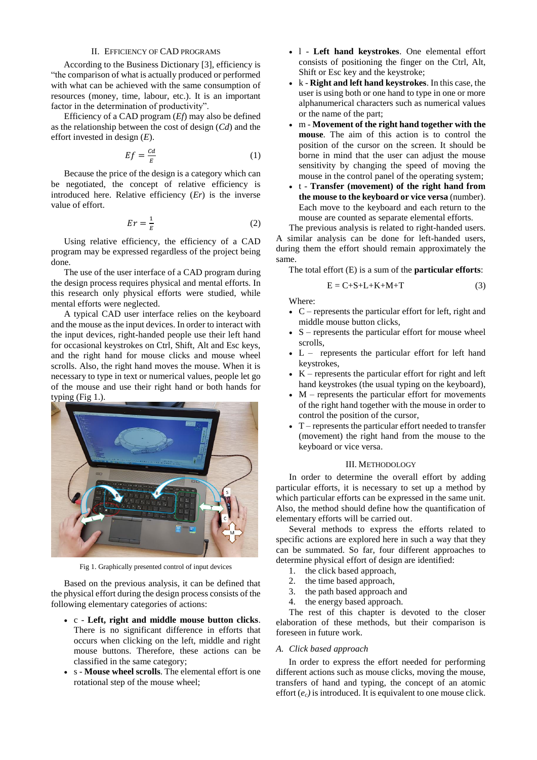# II. EFFICIENCY OF CAD PROGRAMS

According to the Business Dictionary [3], efficiency is "the comparison of what is actually produced or performed with what can be achieved with the same consumption of resources (money, time, labour, etc.). It is an important factor in the determination of productivity".

Efficiency of a CAD program (*Ef*) may also be defined as the relationship between the cost of design (*Cd*) and the effort invested in design (*E*).

$$
Ef = \frac{cd}{E} \tag{1}
$$

Because the price of the design is a category which can be negotiated, the concept of relative efficiency is introduced here. Relative efficiency (*Er*) is the inverse value of effort.

$$
Er = \frac{1}{E} \tag{2}
$$

Using relative efficiency, the efficiency of a CAD program may be expressed regardless of the project being done.

The use of the user interface of a CAD program during the design process requires physical and mental efforts. In this research only physical efforts were studied, while mental efforts were neglected.

A typical CAD user interface relies on the keyboard and the mouse asthe input devices. In order to interact with the input devices, right-handed people use their left hand for occasional keystrokes on Ctrl, Shift, Alt and Esc keys, and the right hand for mouse clicks and mouse wheel scrolls. Also, the right hand moves the mouse. When it is necessary to type in text or numerical values, people let go of the mouse and use their right hand or both hands for typing (Fig 1.).



Fig 1. Graphically presented control of input devices

Based on the previous analysis, it can be defined that the physical effort during the design process consists of the following elementary categories of actions:

- c **Left, right and middle mouse button clicks**. There is no significant difference in efforts that occurs when clicking on the left, middle and right mouse buttons. Therefore, these actions can be classified in the same category;
- s **Mouse wheel scrolls**. The elemental effort is one rotational step of the mouse wheel;
- l **Left hand keystrokes**. One elemental effort consists of positioning the finger on the Ctrl, Alt, Shift or Esc key and the keystroke;
- k **Right and left hand keystrokes**. In this case, the user is using both or one hand to type in one or more alphanumerical characters such as numerical values or the name of the part;
- m **Movement of the right hand together with the mouse**. The aim of this action is to control the position of the cursor on the screen. It should be borne in mind that the user can adjust the mouse sensitivity by changing the speed of moving the mouse in the control panel of the operating system;
- t **Transfer (movement) of the right hand from the mouse to the keyboard or vice versa** (number). Each move to the keyboard and each return to the mouse are counted as separate elemental efforts.

The previous analysis is related to right-handed users. A similar analysis can be done for left-handed users, during them the effort should remain approximately the same.

The total effort (E) is a sum of the **particular efforts**:

$$
E = C + S + L + K + M + T \tag{3}
$$

Where:

- $C$  represents the particular effort for left, right and middle mouse button clicks,
- $S$  represents the particular effort for mouse wheel scrolls,
- L represents the particular effort for left hand keystrokes,
- $K$  represents the particular effort for right and left hand keystrokes (the usual typing on the keyboard),
- $M$  represents the particular effort for movements of the right hand together with the mouse in order to control the position of the cursor,
- T represents the particular effort needed to transfer (movement) the right hand from the mouse to the keyboard or vice versa.

#### III. METHODOLOGY

In order to determine the overall effort by adding particular efforts, it is necessary to set up a method by which particular efforts can be expressed in the same unit. Also, the method should define how the quantification of elementary efforts will be carried out.

Several methods to express the efforts related to specific actions are explored here in such a way that they can be summated. So far, four different approaches to determine physical effort of design are identified:

- 1. the click based approach,
- 2. the time based approach,
- 3. the path based approach and
- 4. the energy based approach.

The rest of this chapter is devoted to the closer elaboration of these methods, but their comparison is foreseen in future work.

# *A. Click based approach*

In order to express the effort needed for performing different actions such as mouse clicks, moving the mouse, transfers of hand and typing, the concept of an atomic effort (*ec)* is introduced. It is equivalent to one mouse click.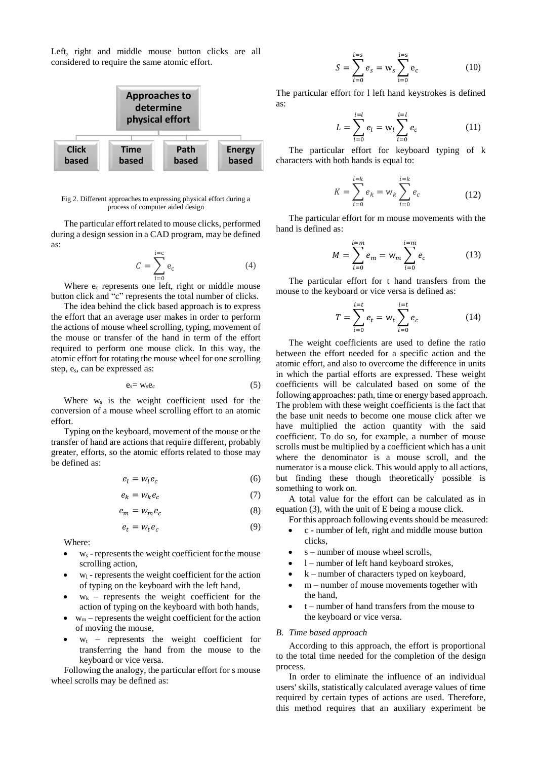Left, right and middle mouse button clicks are all considered to require the same atomic effort.



Fig 2. Different approaches to expressing physical effort during a process of computer aided design

The particular effort related to mouse clicks, performed during a design session in a CAD program, may be defined as:

$$
C = \sum_{i=0}^{i=c} e_c \tag{4}
$$

Where  $e_c$  represents one left, right or middle mouse button click and "c" represents the total number of clicks.

The idea behind the click based approach is to express the effort that an average user makes in order to perform the actions of mouse wheel scrolling, typing, movement of the mouse or transfer of the hand in term of the effort required to perform one mouse click. In this way, the atomic effort for rotating the mouse wheel for one scrolling step, es, can be expressed as:

$$
e_s = w_s e_c \tag{5}
$$

Where  $w_s$  is the weight coefficient used for the conversion of a mouse wheel scrolling effort to an atomic effort.

Typing on the keyboard, movement of the mouse or the transfer of hand are actions that require different, probably greater, efforts, so the atomic efforts related to those may be defined as:

$$
e_l = w_l e_c \tag{6}
$$

$$
e_k = w_k e_c \tag{7}
$$

$$
e_m = w_m e_c \tag{8}
$$

$$
e_t = w_t e_c \tag{9}
$$

Where:

- $w_s$  represents the weight coefficient for the mouse scrolling action,
- $w_1$  represents the weight coefficient for the action of typing on the keyboard with the left hand,
- $w_k$  represents the weight coefficient for the action of typing on the keyboard with both hands,
- $w_m$  represents the weight coefficient for the action of moving the mouse,
- $w_t$  represents the weight coefficient for transferring the hand from the mouse to the keyboard or vice versa.

Following the analogy, the particular effort for s mouse wheel scrolls may be defined as:

$$
S = \sum_{i=0}^{i=s} e_s = w_s \sum_{i=0}^{i=s} e_c
$$
 (10)

The particular effort for l left hand keystrokes is defined as:

$$
L = \sum_{i=0}^{i=l} e_i = w_i \sum_{i=0}^{i=l} e_c \tag{11}
$$

The particular effort for keyboard typing of k characters with both hands is equal to:

$$
K = \sum_{i=0}^{i=k} e_k = w_k \sum_{i=0}^{i=k} e_c
$$
 (12)

The particular effort for m mouse movements with the hand is defined as:

$$
M = \sum_{i=0}^{i=m} e_m = w_m \sum_{i=0}^{i=m} e_c
$$
 (13)

The particular effort for t hand transfers from the mouse to the keyboard or vice versa is defined as:

$$
T = \sum_{i=0}^{i=t} e_t = w_t \sum_{i=0}^{i=t} e_c
$$
 (14)

The weight coefficients are used to define the ratio between the effort needed for a specific action and the atomic effort, and also to overcome the difference in units in which the partial efforts are expressed. These weight coefficients will be calculated based on some of the following approaches: path, time or energy based approach. The problem with these weight coefficients is the fact that the base unit needs to become one mouse click after we have multiplied the action quantity with the said coefficient. To do so, for example, a number of mouse scrolls must be multiplied by a coefficient which has a unit where the denominator is a mouse scroll, and the numerator is a mouse click. This would apply to all actions, but finding these though theoretically possible is something to work on.

A total value for the effort can be calculated as in equation (3), with the unit of E being a mouse click.

- For this approach following events should be measured: • c - number of left, right and middle mouse button
- clicks,
- s number of mouse wheel scrolls.
- l number of left hand keyboard strokes,
- k number of characters typed on keyboard,
- m number of mouse movements together with the hand,
- t number of hand transfers from the mouse to the keyboard or vice versa.

#### *B. Time based approach*

According to this approach, the effort is proportional to the total time needed for the completion of the design process.

In order to eliminate the influence of an individual users' skills, statistically calculated average values of time required by certain types of actions are used. Therefore, this method requires that an auxiliary experiment be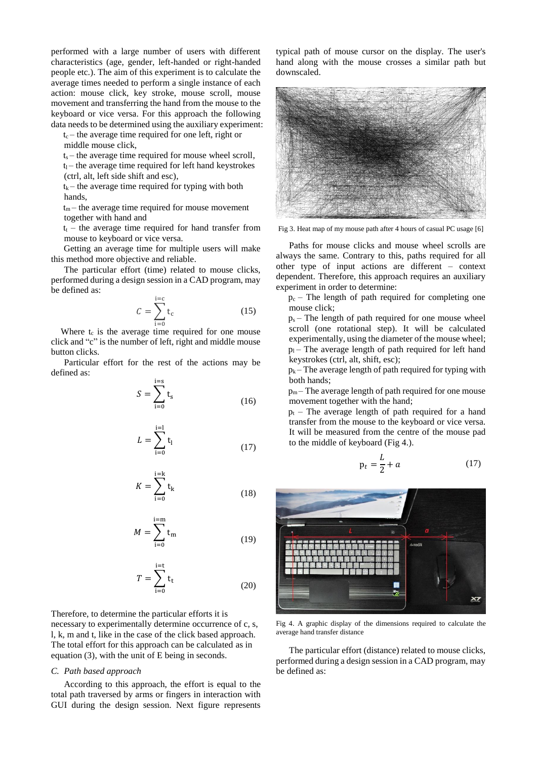performed with a large number of users with different characteristics (age, gender, left-handed or right-handed people etc.). The aim of this experiment is to calculate the average times needed to perform a single instance of each action: mouse click, key stroke, mouse scroll, mouse movement and transferring the hand from the mouse to the keyboard or vice versa. For this approach the following data needs to be determined using the auxiliary experiment:

 $t_c$  – the average time required for one left, right or middle mouse click,

 $t_s$  – the average time required for mouse wheel scroll,

 $t_1$  – the average time required for left hand keystrokes (ctrl, alt, left side shift and esc),

 $t_k$  – the average time required for typing with both hands,

 $t_m$  – the average time required for mouse movement together with hand and

 $t_t$  – the average time required for hand transfer from mouse to keyboard or vice versa.

Getting an average time for multiple users will make this method more objective and reliable.

The particular effort (time) related to mouse clicks, performed during a design session in a CAD program, may be defined as:

$$
C = \sum_{i=0}^{i=c} t_c \tag{15}
$$

Where  $t_c$  is the average time required for one mouse click and "c" is the number of left, right and middle mouse button clicks.

Particular effort for the rest of the actions may be defined as:

$$
S = \sum_{i=0}^{i=s} t_s \tag{16}
$$

$$
L = \sum_{i=0}^{i=1} t_1
$$
 (17)

$$
K = \sum_{i=0}^{i=k} t_k
$$
 (18)

$$
M = \sum_{i=0}^{i=m} t_m \tag{19}
$$

$$
T = \sum_{i=0}^{i=t} t_t \tag{20}
$$

Therefore, to determine the particular efforts it is necessary to experimentally determine occurrence of c, s, l, k, m and t, like in the case of the click based approach. The total effort for this approach can be calculated as in equation (3), with the unit of E being in seconds.

# *C. Path based approach*

According to this approach, the effort is equal to the total path traversed by arms or fingers in interaction with GUI during the design session. Next figure represents typical path of mouse cursor on the display. The user's hand along with the mouse crosses a similar path but downscaled.



Fig 3. Heat map of my mouse path after 4 hours of casual PC usage [6]

Paths for mouse clicks and mouse wheel scrolls are always the same. Contrary to this, paths required for all other type of input actions are different – context dependent. Therefore, this approach requires an auxiliary experiment in order to determine:

 $p_c$  – The length of path required for completing one mouse click;

 $p_s$  – The length of path required for one mouse wheel scroll (one rotational step). It will be calculated experimentally, using the diameter of the mouse wheel;  $p_1$  – The average length of path required for left hand keystrokes (ctrl, alt, shift, esc);

 $p_k$  – The average length of path required for typing with both hands;

 $p_m$ – The average length of path required for one mouse movement together with the hand;

 $p_t$  – The average length of path required for a hand transfer from the mouse to the keyboard or vice versa. It will be measured from the centre of the mouse pad to the middle of keyboard (Fig 4.).

$$
p_t = \frac{L}{2} + a \tag{17}
$$



Fig 4. A graphic display of the dimensions required to calculate the average hand transfer distance

The particular effort (distance) related to mouse clicks, performed during a design session in a CAD program, may be defined as: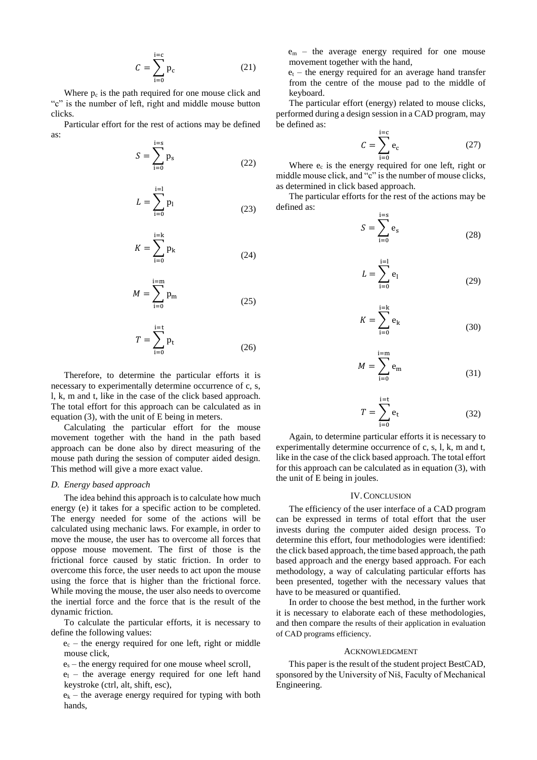$$
C = \sum_{i=0}^{i=c} p_c \tag{21}
$$

Where  $p_c$  is the path required for one mouse click and "c" is the number of left, right and middle mouse button clicks.

Particular effort for the rest of actions may be defined as:

$$
S = \sum_{i=0}^{i=s} p_s \tag{22}
$$

$$
L = \sum_{i=0}^{i=1} p_i
$$
 (23)

$$
K = \sum_{i=0}^{i=k} p_k \tag{24}
$$

$$
M = \sum_{i=0}^{i=m} p_m \tag{25}
$$

$$
T = \sum_{i=0}^{i=t} p_t \tag{26}
$$

Therefore, to determine the particular efforts it is necessary to experimentally determine occurrence of c, s, l, k, m and t, like in the case of the click based approach. The total effort for this approach can be calculated as in equation (3), with the unit of E being in meters.

Calculating the particular effort for the mouse movement together with the hand in the path based approach can be done also by direct measuring of the mouse path during the session of computer aided design. This method will give a more exact value.

#### *D. Energy based approach*

The idea behind this approach is to calculate how much energy (e) it takes for a specific action to be completed. The energy needed for some of the actions will be calculated using mechanic laws. For example, in order to move the mouse, the user has to overcome all forces that oppose mouse movement. The first of those is the frictional force caused by static friction. In order to overcome this force, the user needs to act upon the mouse using the force that is higher than the frictional force. While moving the mouse, the user also needs to overcome the inertial force and the force that is the result of the dynamic friction.

To calculate the particular efforts, it is necessary to define the following values:

 $e_c$  – the energy required for one left, right or middle mouse click,

 $e_s$  – the energy required for one mouse wheel scroll,

 $e_1$  – the average energy required for one left hand keystroke (ctrl, alt, shift, esc),

 $e_k$  – the average energy required for typing with both hands,

e<sup>m</sup> – the average energy required for one mouse movement together with the hand,

 $e_t$  – the energy required for an average hand transfer from the centre of the mouse pad to the middle of keyboard.

The particular effort (energy) related to mouse clicks, performed during a design session in a CAD program, may be defined as:

$$
C = \sum_{i=0}^{i=c} e_c \tag{27}
$$

Where  $e_c$  is the energy required for one left, right or middle mouse click, and "c" is the number of mouse clicks, as determined in click based approach.

The particular efforts for the rest of the actions may be defined as:

$$
S = \sum_{i=0}^{i=s} e_s \tag{28}
$$

$$
L = \sum_{i=0}^{i=1} e_i
$$
 (29)

$$
K = \sum_{i=0}^{i=k} e_k \tag{30}
$$

$$
M = \sum_{i=0}^{i=m} e_m \tag{31}
$$

$$
T = \sum_{i=0}^{i=t} e_t \tag{32}
$$

Again, to determine particular efforts it is necessary to experimentally determine occurrence of c, s, l, k, m and t, like in the case of the click based approach. The total effort for this approach can be calculated as in equation (3), with the unit of E being in joules.

#### IV.CONCLUSION

The efficiency of the user interface of a CAD program can be expressed in terms of total effort that the user invests during the computer aided design process. To determine this effort, four methodologies were identified: the click based approach, the time based approach, the path based approach and the energy based approach. For each methodology, a way of calculating particular efforts has been presented, together with the necessary values that have to be measured or quantified.

In order to choose the best method, in the further work it is necessary to elaborate each of these methodologies, and then compare the results of their application in evaluation of CAD programs efficiency.

## ACKNOWLEDGMENT

This paper is the result of the student project BestCAD, sponsored by the University of Niš, Faculty of Mechanical Engineering.